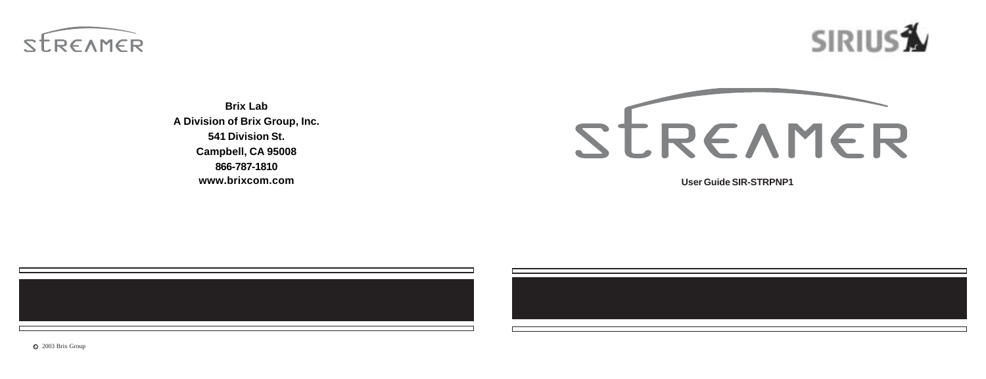



**Brix Lab A Division of Brix Group, Inc. 541 Division St. Campbell, CA 95008 866-787-1810 www.brixcom.com**



**User Guide SIR-STRPNP1**





 $Q$  2003 Brix Group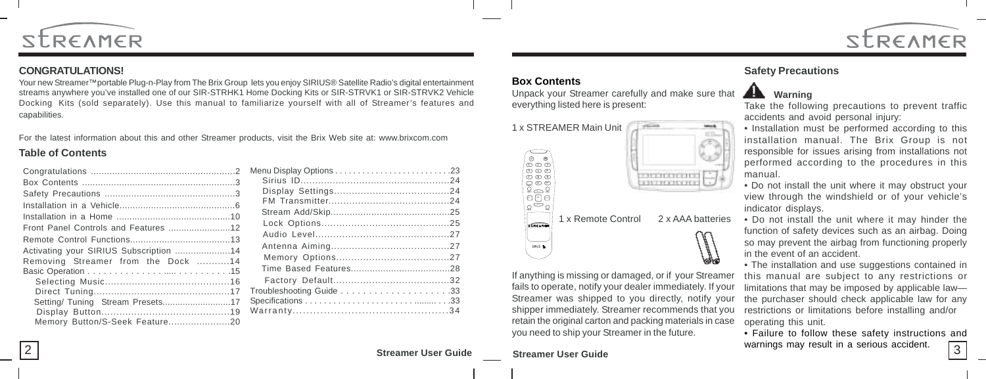



#### **CONGRATULATIONS!**

Your new Streamer™portable Plug-n-Play from The Brix Group lets you enjoy SIRIUS® Satellite Radio's digital entertainment streams anywhere you've installed one of our SIR-STRHK1 Home Docking Kits or SIR-STRVK1 or SIR-STRVK2 Vehicle Docking Kits (sold separately). Use this manual to familiarize yourself with all of Streamer's features and capabilities.

For the latest information about this and other Streamer products, visit the Brix Web site at: www.brixcom.com

#### **Table of Contents**

|                                        | Menu Display C   |
|----------------------------------------|------------------|
|                                        | Sirius ID        |
|                                        | Display Se       |
|                                        | <b>FM Transr</b> |
|                                        | Stream Add       |
|                                        | Lock Optio       |
|                                        | Audio Lev        |
|                                        | Antenna A        |
| Activating your SIRIUS Subscription 14 | Memory C         |
| Removing Streamer from the Dock 14     | Time Base        |
|                                        | Factory D        |
|                                        | Troubleshootin   |
|                                        | Specifications.  |
|                                        | Warranty         |
|                                        |                  |
|                                        |                  |

#### **Box Contents**

Unpack your Streamer carefully and make sure that everything listed here is present:



If anything is missing or damaged, or if your Streamer fails to operate, notify your dealer immediately. If your Streamer was shipped to you directly, notify your shipper immediately. Streamer recommends that you retain the original carton and packing materials in case

you need to ship your Streamer in the future.

### **Safety Precautions**

### **ALC** Warning

Take the following precautions to prevent traffic accidents and avoid personal injury:

- Installation must be performed according to this installation manual. The Brix Group is not responsible for issues arising from installations not performed according to the procedures in this manual.
- Do not install the unit where it may obstruct your view through the windshield or of your vehicle's indicator displays.
- Do not install the unit where it may hinder the function of safety devices such as an airbag. Doing so may prevent the airbag from functioning properly in the event of an accident.

• The installation and use suggestions contained in this manual are subject to any restrictions or limitations that may be imposed by applicable law the purchaser should check applicable law for any restrictions or limitations before installing and/or operating this unit.

• Failure to follow these safety instructions and warnings may result in a serious accident.  $\sqrt{3}$ 

### 2 **Streamer User Guide Streamer User Guide**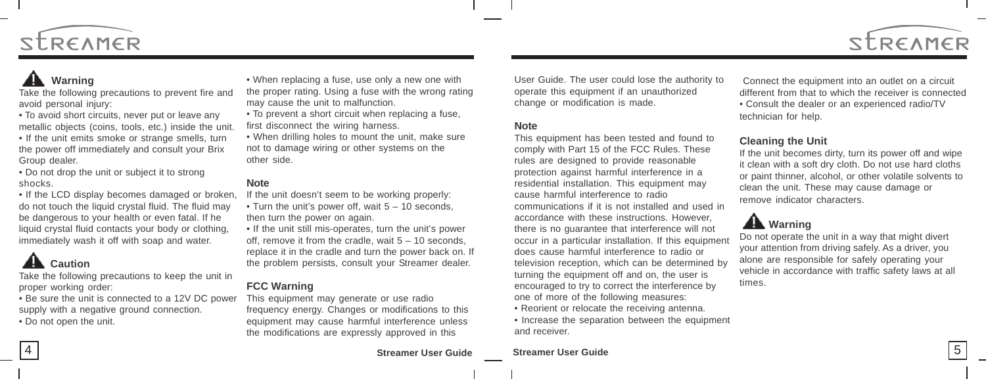

## **Warning**

Take the following precautions to prevent fire and avoid personal injury:

• To avoid short circuits, never put or leave any metallic objects (coins, tools, etc.) inside the unit. • If the unit emits smoke or strange smells, turn the power off immediately and consult your Brix Group dealer.

• Do not drop the unit or subject it to strong shocks.

• If the LCD display becomes damaged or broken, do not touch the liquid crystal fluid. The fluid may be dangerous to your health or even fatal. If he liquid crystal fluid contacts your body or clothing, immediately wash it off with soap and water.

## **AL** Caution

Take the following precautions to keep the unit in proper working order:

• Be sure the unit is connected to a 12V DC power supply with a negative ground connection. • Do not open the unit.

• When replacing a fuse, use only a new one with the proper rating. Using a fuse with the wrong rating may cause the unit to malfunction.

- To prevent a short circuit when replacing a fuse, first disconnect the wiring harness.
- When drilling holes to mount the unit, make sure not to damage wiring or other systems on the other side.

#### **Note**

If the unit doesn't seem to be working properly:

- Turn the unit's power off, wait  $5 10$  seconds, then turn the power on again.
- If the unit still mis-operates, turn the unit's power off, remove it from the cradle, wait  $5 - 10$  seconds, replace it in the cradle and turn the power back on. If the problem persists, consult your Streamer dealer.

#### **FCC Warning**

This equipment may generate or use radio frequency energy. Changes or modifications to this equipment may cause harmful interference unless the modifications are expressly approved in this

User Guide. The user could lose the authority to operate this equipment if an unauthorized change or modification is made.

#### **Note**

This equipment has been tested and found to comply with Part 15 of the FCC Rules. These rules are designed to provide reasonable protection against harmful interference in a residential installation. This equipment may cause harmful interference to radio communications if it is not installed and used in accordance with these instructions. However, there is no guarantee that interference will not occur in a particular installation. If this equipment does cause harmful interference to radio or television reception, which can be determined by turning the equipment off and on, the user is encouraged to try to correct the interference by one of more of the following measures:

- Reorient or relocate the receiving antenna.
- Increase the separation between the equipment and receiver.

Connect the equipment into an outlet on a circuit different from that to which the receiver is connected • Consult the dealer or an experienced radio/TV technician for help.

#### **Cleaning the Unit**

If the unit becomes dirty, turn its power off and wipe it clean with a soft dry cloth. Do not use hard cloths or paint thinner, alcohol, or other volatile solvents to clean the unit. These may cause damage or remove indicator characters.

## **Warning**

Do not operate the unit in a way that might divert your attention from driving safely. As a driver, you alone are responsible for safely operating your vehicle in accordance with traffic safety laws at all times.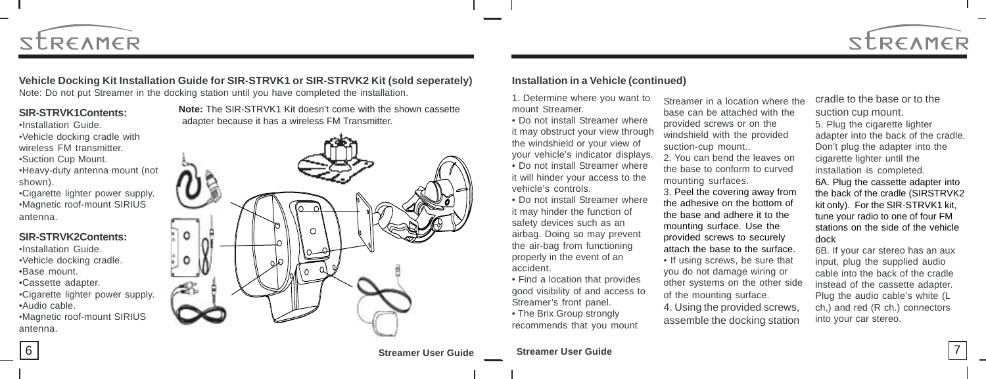

## **Vehicle Docking Kit Installation Guide for SIR-STRVK1 or SIR-STRVK2 Kit (sold seperately)**

Note: Do not put Streamer in the docking station until you have completed the installation.

#### **SIR-STRVK1Contents:**

•Installation Guide. •Vehicle docking cradle with wireless FM transmitter. •Suction Cup Mount. •Heavy-duty antenna mount (not shown). •Cigarette lighter power supply.

•Magnetic roof-mount SIRIUS antenna.

#### **SIR-STRVK2Contents:**

•Installation Guide. •Vehicle docking cradle. •Base mount. •Cassette adapter. •Cigarette lighter power supply. •Audio cable.

•Magnetic roof-mount SIRIUS antenna.

**Note:** The SIR-STRVK1 Kit doesn't come with the shown cassette adapter because it has a wireless FM Transmitter.



#### **Installation in a Vehicle (continued)**

1. Determine where you want to mount Streamer.

• Do not install Streamer where it may obstruct your view through the windshield or your view of your vehicle's indicator displays. • Do not install Streamer where it will hinder your access to the vehicle's controls.

- Do not install Streamer where it may hinder the function of safety devices such as an airbag. Doing so may prevent the air-bag from functioning properly in the event of an accident.
- Find a location that provides good visibility of and access to Streamer's front panel.
- The Brix Group strongly recommends that you mount

Streamer in a location where the base can be attached with the provided screws or on the windshield with the provided suction-cup mount.. 2. You can bend the leaves on the base to conform to curved mounting surfaces. 3. Peel the covering away from the adhesive on the bottom of the base and adhere it to the

mounting surface. Use the provided screws to securely attach the base to the surface. • If using screws, be sure that you do not damage wiring or other systems on the other side of the mounting surface.

4. Using the provided screws, assemble the docking station

cradle to the base or to the suction cup mount. 5. Plug the cigarette lighter adapter into the back of the cradle. Don't plug the adapter into the cigarette lighter until the installation is completed. 6A. Plug the cassette adapter into the back of the cradle (SIRSTRVK2 kit only). For the SIR-STRVK1 kit, tune your radio to one of four FM stations on the side of the vehicle dock

STREAMER

6B. If your car stereo has an aux input, plug the supplied audio cable into the back of the cradle instead of the cassette adapter. Plug the audio cable's white (L ch,) and red (R ch.) connectors into your car stereo.

6 **Streamer User Guide Streamer User Guide** 7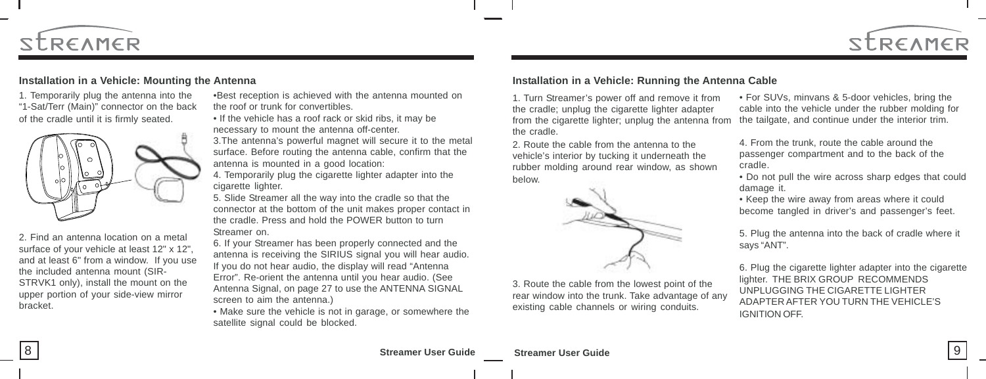



#### **Installation in a Vehicle: Mounting the Antenna**

1. Temporarily plug the antenna into the "1-Sat/Terr (Main)" connector on the back of the cradle until it is firmly seated.



2. Find an antenna location on a metal surface of your vehicle at least 12" x 12", and at least 6" from a window. If you use the included antenna mount (SIR-STRVK1 only), install the mount on the upper portion of your side-view mirror bracket.

•Best reception is achieved with the antenna mounted on the roof or trunk for convertibles. • If the vehicle has a roof rack or skid ribs, it may be

necessary to mount the antenna off-center.

3.The antenna's powerful magnet will secure it to the metal surface. Before routing the antenna cable, confirm that the antenna is mounted in a good location:

4. Temporarily plug the cigarette lighter adapter into the cigarette lighter.

5. Slide Streamer all the way into the cradle so that the connector at the bottom of the unit makes proper contact in the cradle. Press and hold the POWER button to turn Streamer on.

6. If your Streamer has been properly connected and the antenna is receiving the SIRIUS signal you will hear audio. If you do not hear audio, the display will read "Antenna Error". Re-orient the antenna until you hear audio. (See Antenna Signal, on page 27 to use the ANTENNA SIGNAL screen to aim the antenna.)

• Make sure the vehicle is not in garage, or somewhere the satellite signal could be blocked.

#### **Installation in a Vehicle: Running the Antenna Cable**

1. Turn Streamer's power off and remove it from the cradle; unplug the cigarette lighter adapter from the cigarette lighter; unplug the antenna from the cradle.

2. Route the cable from the antenna to the vehicle's interior by tucking it underneath the rubber molding around rear window, as shown below.



3. Route the cable from the lowest point of the rear window into the trunk. Take advantage of any existing cable channels or wiring conduits.

• For SUVs, minvans & 5-door vehicles, bring the cable into the vehicle under the rubber molding for the tailgate, and continue under the interior trim.

4. From the trunk, route the cable around the passenger compartment and to the back of the cradle.

• Do not pull the wire across sharp edges that could damage it.

• Keep the wire away from areas where it could become tangled in driver's and passenger's feet.

5. Plug the antenna into the back of cradle where it says "ANT".

6. Plug the cigarette lighter adapter into the cigarette lighter. THE BRIX GROUP RECOMMENDS UNPLUGGING THE CIGARETTE LIGHTER ADAPTER AFTER YOU TURN THE VEHICLE'S IGNITION OFF.

**Streamer User Guide Streamer User Guide** 8 9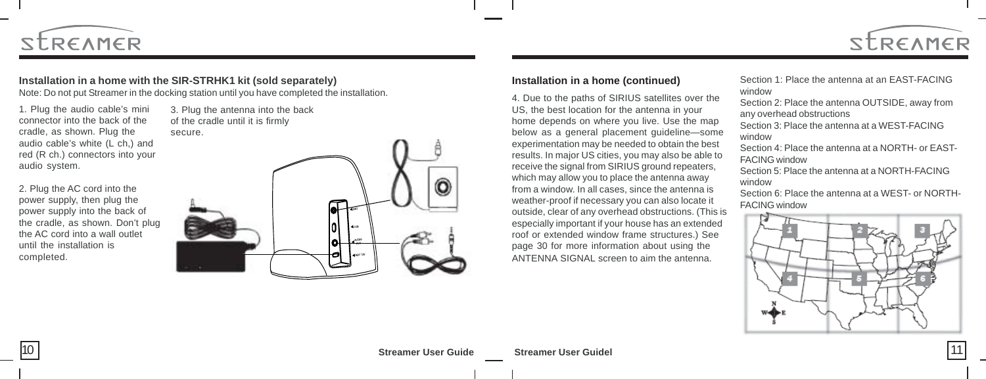

#### **Installation in a home with the SIR-STRHK1 kit (sold separately)**

Note: Do not put Streamer in the docking station until you have completed the installation.

1. Plug the audio cable's mini connector into the back of the cradle, as shown. Plug the audio cable's white (L ch,) and red (R ch.) connectors into your audio system.

2. Plug the AC cord into the power supply, then plug the power supply into the back of the cradle, as shown. Don't plug the AC cord into a wall outlet until the installation is completed.

3. Plug the antenna into the back of the cradle until it is firmly secure.



4. Due to the paths of SIRIUS satellites over the US, the best location for the antenna in your home depends on where you live. Use the map below as a general placement guideline—some experimentation may be needed to obtain the best results. In major US cities, you may also be able to receive the signal from SIRIUS ground repeaters, which may allow you to place the antenna away from a window. In all cases, since the antenna is weather-proof if necessary you can also locate it outside, clear of any overhead obstructions. (This is especially important if your house has an extended roof or extended window frame structures.) See page 30 for more information about using the ANTENNA SIGNAL screen to aim the antenna.

**Installation in a home (continued)** Section 1: Place the antenna at an EAST-FACING window

STREAMER

Section 2: Place the antenna OUTSIDE, away from any overhead obstructions

Section 3: Place the antenna at a WEST-FACING window

Section 4: Place the antenna at a NORTH- or EAST-FACING window

Section 5: Place the antenna at a NORTH-FACING window

Section 6: Place the antenna at a WEST- or NORTH-FACING window

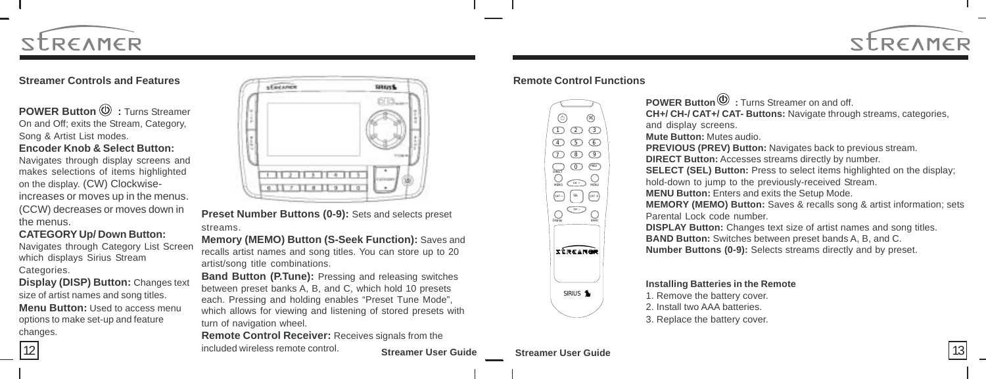

#### **Streamer Controls and Features**

**POWER Button**  $\textcircled{D}$  **: Turns Streamer** On and Off; exits the Stream, Category, Song & Artist List modes.

#### **Encoder Knob & Select Button:**

Navigates through display screens and makes selections of items highlighted on the display. (CW) Clockwiseincreases or moves up in the menus. (CCW) decreases or moves down in the menus.

#### **CATEGORY Up/ Down Button:**

Navigates through Category List Screen which displays Sirius Stream Categories.

**Display (DISP) Button:** Changes text size of artist names and song titles. **Menu Button:** Used to access menu options to make set-up and feature changes.



**Preset Number Buttons (0-9):** Sets and selects preset streams.

**Memory (MEMO) Button (S-Seek Function):** Saves and recalls artist names and song titles. You can store up to 20 artist/song title combinations.

**Band Button (P.Tune):** Pressing and releasing switches between preset banks A, B, and C, which hold 10 presets each. Pressing and holding enables "Preset Tune Mode", which allows for viewing and listening of stored presets with turn of navigation wheel.

**Remote Control Receiver:** Receives signals from the included wireless remote control.

**Streamer User Guide Streamer User Guide** 12 and the included wireless remote control. Streamer User Guide Streamer User Guide Streamer User Guide 13

**Remote Control Functions**



**POWER Button**  $\mathbf{\Theta}$ : Turns Streamer on and off. **CH+/ CH-/ CAT+/ CAT- Buttons:** Navigate through streams, categories, and display screens. **Mute Button:** Mutes audio. **PREVIOUS (PREV) Button:** Navigates back to previous stream. **DIRECT Button:** Accesses streams directly by number. **SELECT (SEL) Button:** Press to select items highlighted on the display; hold-down to jump to the previously-received Stream. **MENU Button:** Enters and exits the Setup Mode. **MEMORY (MEMO) Button:** Saves & recalls song & artist information; sets Parental Lock code number. **DISPLAY Button:** Changes text size of artist names and song titles. **BAND Button:** Switches between preset bands A, B, and C. **Number Buttons (0-9):** Selects streams directly and by preset.

#### **Installing Batteries in the Remote**

1. Remove the battery cover.

2. Install two AAA batteries.

3. Replace the battery cover.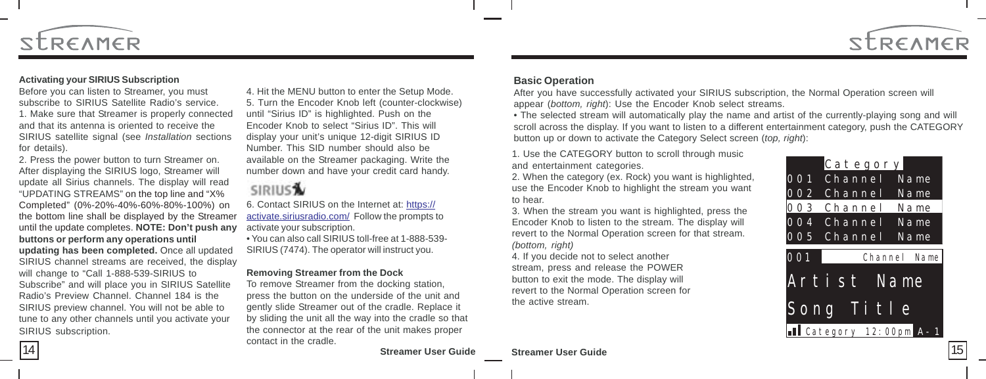

#### **Activating your SIRIUS Subscription**

Before you can listen to Streamer, you must subscribe to SIRIUS Satellite Radio's service. 1. Make sure that Streamer is properly connected and that its antenna is oriented to receive the SIRIUS satellite signal (see *Installation* sections for details).

2. Press the power button to turn Streamer on. After displaying the SIRIUS logo, Streamer will update all Sirius channels. The display will read "UPDATING STREAMS" on the top line and "X% Completed" (0%-20%-40%-60%-80%-100%) on the bottom line shall be displayed by the Streamer until the update completes. **NOTE: Don't push any buttons or perform any operations until updating has been completed.** Once all updated SIRIUS channel streams are received, the display will change to "Call 1-888-539-SIRIUS to Subscribe" and will place you in SIRIUS Satellite Radio's Preview Channel. Channel 184 is the SIRIUS preview channel. You will not be able to tune to any other channels until you activate your SIRIUS subscription.

4. Hit the MENU button to enter the Setup Mode. 5. Turn the Encoder Knob left (counter-clockwise) until "Sirius ID" is highlighted. Push on the Encoder Knob to select "Sirius ID". This will display your unit's unique 12-digit SIRIUS ID Number. This SID number should also be available on the Streamer packaging. Write the number down and have your credit card handy.

### **SIRIUS**

6. Contact SIRIUS on the Internet at: https:// activate.siriusradio.com/ Follow the prompts to activate your subscription.

• You can also call SIRIUS toll-free at 1-888-539- SIRIUS (7474). The operator will instruct you.

#### **Removing Streamer from the Dock**

To remove Streamer from the docking station, press the button on the underside of the unit and gently slide Streamer out of the cradle. Replace it by sliding the unit all the way into the cradle so that the connector at the rear of the unit makes proper contact in the cradle.

**Streamer User Guide Streamer User Guide** 14 and the state of the State of Streamer User Guide Streamer User Guide Streamer User Guide (15

#### **Basic Operation**

After you have successfully activated your SIRIUS subscription, the Normal Operation screen will appear (*bottom, right*): Use the Encoder Knob select streams.

• The selected stream will automatically play the name and artist of the currently-playing song and will scroll across the display. If you want to listen to a different entertainment category, push the CATEGORY button up or down to activate the Category Select screen (*top, right*):

1. Use the CATEGORY button to scroll through music and entertainment categories.

2. When the category (ex. Rock) you want is highlighted, use the Encoder Knob to highlight the stream you want to hear.

3. When the stream you want is highlighted, press the Encoder Knob to listen to the stream. The display will revert to the Normal Operation screen for that stream. *(bottom, right)*

4. If you decide not to select another stream, press and release the POWER button to exit the mode. The display will revert to the Normal Operation screen for the active stream.

|            | Category    |              |
|------------|-------------|--------------|
| 001        | Channel     | Name         |
| <b>002</b> | Channel     | Name         |
| 003        | Channel     | Name         |
| 004        | Channel     | Name         |
| 005        | Channel     | Name         |
| 001        |             | Channel Name |
|            | Artist Name |              |
| Song Title |             |              |
|            |             |              |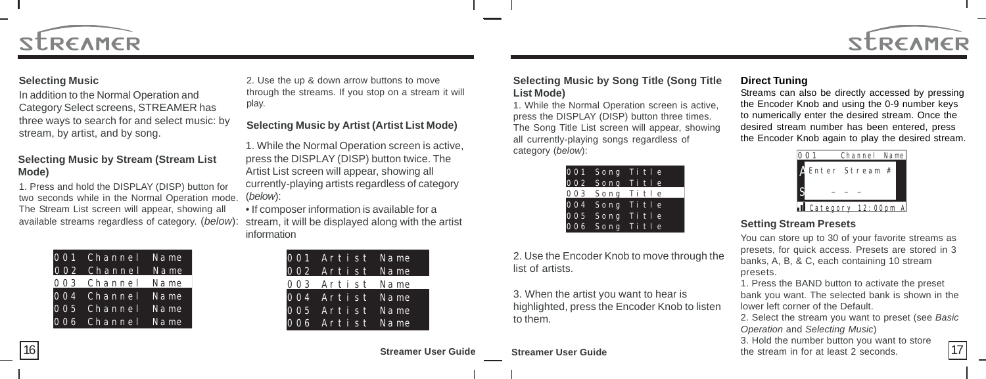

### **Selecting Music**

**STREAMER** 

In addition to the Normal Operation and Category Select screens, STREAMER has three ways to search for and select music: by stream, by artist, and by song.

#### **Selecting Music by Stream (Stream List Mode)**

1. Press and hold the DISPLAY (DISP) button for two seconds while in the Normal Operation mode. The Stream List screen will appear, showing all available streams regardless of category. (*below*):

| 001 Channel Name |  |
|------------------|--|
| 002 Channel Name |  |
| 003 Channel Name |  |
| 004 Channel Name |  |
| 005 Channel Name |  |
| 006 Channel Name |  |

2. Use the up & down arrow buttons to move through the streams. If you stop on a stream it will play.

**Selecting Music by Artist (Artist List Mode)**

1. While the Normal Operation screen is active, press the DISPLAY (DISP) button twice. The Artist List screen will appear, showing all currently-playing artists regardless of category (*below*):

• If composer information is available for a stream, it will be displayed along with the artist information

| 001 Artist Name                    |  |
|------------------------------------|--|
| 002 Artist Name                    |  |
| 003 Artist Name                    |  |
|                                    |  |
|                                    |  |
| 004 Artist Name<br>005 Artist Name |  |

#### **Selecting Music by Song Title (Song Title List Mode)**

1. While the Normal Operation screen is active, press the DISPLAY (DISP) button three times. The Song Title List screen will appear, showing all currently-playing songs regardless of category (*below*):

|  | 001 Song Title |
|--|----------------|
|  | 002 Song Title |
|  | 003 Song Title |
|  | 004 Song Title |
|  | 005 Song Title |
|  | 006 Song Title |

2. Use the Encoder Knob to move through the list of artists.

3. When the artist you want to hear is highlighted, press the Encoder Knob to listen to them.

#### **Direct Tuning**

Streams can also be directly accessed by pressing the Encoder Knob and using the 0-9 number keys to numerically enter the desired stream. Once the desired stream number has been entered, press the Encoder Knob again to play the desired stream.

| Channel Name     |  |
|------------------|--|
| Enter Stream #   |  |
|                  |  |
| Category 12:00pm |  |

#### **Setting Stream Presets**

You can store up to 30 of your favorite streams as presets, for quick access. Presets are stored in 3 banks, A, B, & C, each containing 10 stream presets.

1. Press the BAND button to activate the preset bank you want. The selected bank is shown in the lower left corner of the Default.

2. Select the stream you want to preset (see *Basic Operation* and *Selecting Music*)

16 16 17 3. Hold the number button you want to store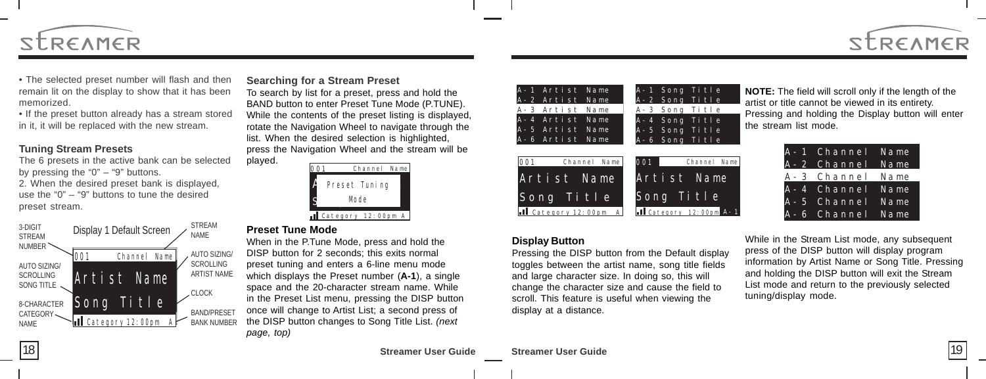

• The selected preset number will flash and then remain lit on the display to show that it has been memorized.

• If the preset button already has a stream stored in it, it will be replaced with the new stream.

#### **Tuning Stream Presets**

The 6 presets in the active bank can be selected by pressing the " $0$ " – " $9$ " buttons. 2. When the desired preset bank is displayed, use the "0" – "9" buttons to tune the desired preset stream.



#### **Searching for a Stream Preset**

To search by list for a preset, press and hold the BAND button to enter Preset Tune Mode (P.TUNE). While the contents of the preset listing is displayed, rotate the Navigation Wheel to navigate through the list. When the desired selection is highlighted, press the Navigation Wheel and the stream will be played.



#### **Preset Tune Mode**

When in the P.Tune Mode, press and hold the DISP button for 2 seconds; this exits normal preset tuning and enters a 6-line menu mode which displays the Preset number (**A-1**), a single space and the 20-character stream name. While in the Preset List menu, pressing the DISP button once will change to Artist List; a second press of the DISP button changes to Song Title List. *(next page, top)*

| A-1 Artist Name        | A-1 Song Title                       |
|------------------------|--------------------------------------|
| A-2 Artist Name        | A-2 Song Title                       |
| A-3 Artist Name        | A-3 Song Title                       |
| A-4 Artist Name        | A-4 Song Title                       |
| A-5 Artist Name        | A-5 Song Title                       |
| A-6 Artist Name        | A-6 Song Title                       |
|                        |                                      |
| 001<br>Channel Name    | 001<br>Channel Name                  |
| Artist Name            | Artist Name                          |
| Song Title             | Song Title                           |
| Category 12: 00pm<br>A | <b>I</b> Category 12:00pm<br>$A - 1$ |

#### **Display Button**

Pressing the DISP button from the Default display toggles between the artist name, song title fields and large character size. In doing so, this will change the character size and cause the field to scroll. This feature is useful when viewing the display at a distance.

**NOTE:** The field will scroll only if the length of the artist or title cannot be viewed in its entirety. Pressing and holding the Display button will enter the stream list mode.

| A-1 Channel     | Name    |
|-----------------|---------|
| $A - 2$ Channel | $N$ ame |
| A-3 Channel     | Name    |
| A-4 Channel     | $N$ ame |
| A-5 Channel     | Name    |
| A-6 Channel     | Name    |

While in the Stream List mode, any subsequent press of the DISP button will display program information by Artist Name or Song Title. Pressing and holding the DISP button will exit the Stream List mode and return to the previously selected tuning/display mode.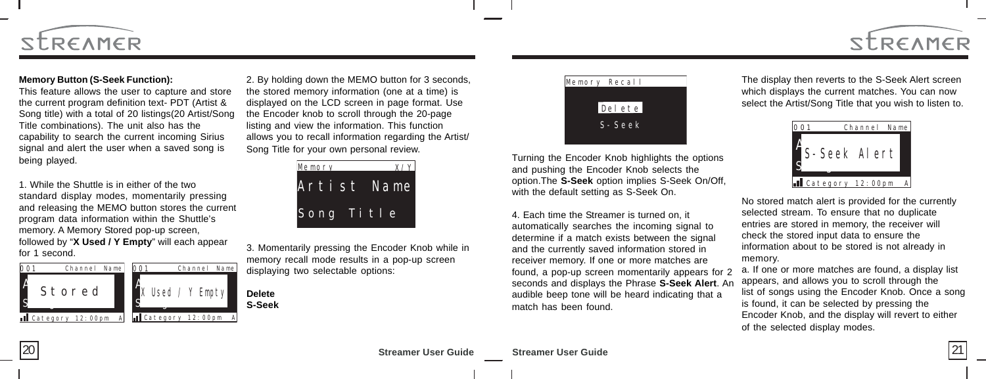

#### **Memory Button (S-Seek Function):**

This feature allows the user to capture and store the current program definition text- PDT (Artist & Song title) with a total of 20 listings(20 Artist/Song Title combinations). The unit also has the capability to search the current incoming Sirius signal and alert the user when a saved song is being played.

1. While the Shuttle is in either of the two standard display modes, momentarily pressing and releasing the MEMO button stores the current program data information within the Shuttle's memory. A Memory Stored pop-up screen, followed by "**X Used / Y Empty**" will each appear for 1 second.



2. By holding down the MEMO button for 3 seconds, the stored memory information (one at a time) is displayed on the LCD screen in page format. Use the Encoder knob to scroll through the 20-page listing and view the information. This function allows you to recall information regarding the Artist/ Song Title for your own personal review.



3. Momentarily pressing the Encoder Knob while in memory recall mode results in a pop-up screen displaying two selectable options:



Turning the Encoder Knob highlights the options and pushing the Encoder Knob selects the option.The **S-Seek** option implies S-Seek On/Off, with the default setting as S-Seek On.

4. Each time the Streamer is turned on, it automatically searches the incoming signal to determine if a match exists between the signal and the currently saved information stored in receiver memory. If one or more matches are found, a pop-up screen momentarily appears for 2 seconds and displays the Phrase **S-Seek Alert**. An audible beep tone will be heard indicating that a match has been found.

The display then reverts to the S-Seek Alert screen which displays the current matches. You can now select the Artist/Song Title that you wish to listen to.

STREAMER



No stored match alert is provided for the currently selected stream. To ensure that no duplicate entries are stored in memory, the receiver will check the stored input data to ensure the information about to be stored is not already in memory.

a. If one or more matches are found, a display list appears, and allows you to scroll through the list of songs using the Encoder Knob. Once a song is found, it can be selected by pressing the Encoder Knob, and the display will revert to either of the selected display modes.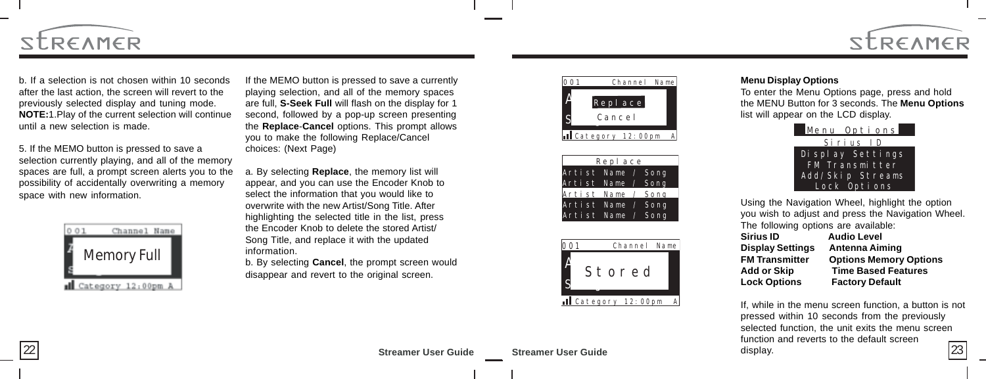

b. If a selection is not chosen within 10 seconds after the last action, the screen will revert to the previously selected display and tuning mode. **NOTE:**1.Play of the current selection will continue until a new selection is made.

5. If the MEMO button is pressed to save a selection currently playing, and all of the memory spaces are full, a prompt screen alerts you to the possibility of accidentally overwriting a memory space with new information.

| Channel Name     |
|------------------|
| Memory Full      |
| Category 12:00pm |

If the MEMO button is pressed to save a currently playing selection, and all of the memory spaces are full, **S-Seek Full** will flash on the display for 1 second, followed by a pop-up screen presenting the **Replace**-**Cancel** options. This prompt allows you to make the following Replace/Cancel choices: (Next Page)

a. By selecting **Replace**, the memory list will appear, and you can use the Encoder Knob to select the information that you would like to overwrite with the new Artist/Song Title. After highlighting the selected title in the list, press the Encoder Knob to delete the stored Artist/ Song Title, and replace it with the updated information.

b. By selecting **Cancel**, the prompt screen would disappear and revert to the original screen.



Category 12:00pm





#### **Menu Display Options**

To enter the Menu Options page, press and hold the MENU Button for 3 seconds. The **Menu Options** list will appear on the LCD display.



Using the Navigation Wheel, highlight the option you wish to adjust and press the Navigation Wheel. The following options are available: **Sirius ID Audio Level Display Settings Antenna Aiming FM Transmitter Options Memory Options Add or Skip Time Based Features Lock Options Factory Default**

If, while in the menu screen function, a button is not pressed within 10 seconds from the previously selected function, the unit exits the menu screen function and reverts to the default screen display.  $\left| \frac{22}{3} \right|$  Streamer User Guide Streamer User Guide Streamer User Guide  $\left| \frac{23}{3} \right|$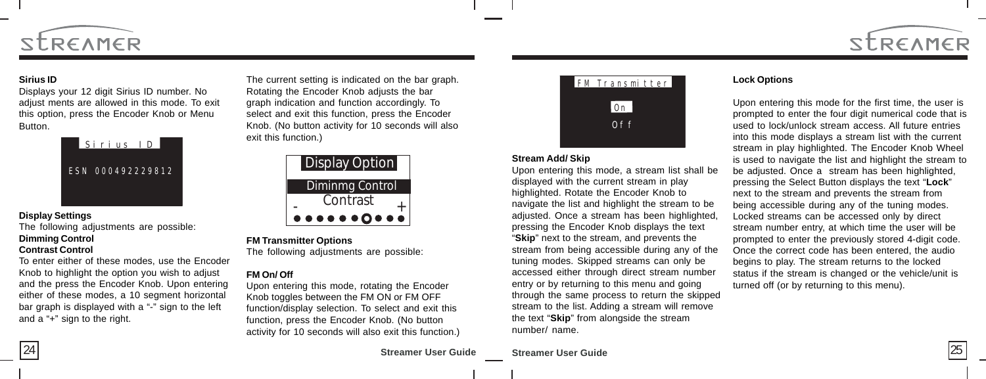

#### **Sirius ID**

Displays your 12 digit Sirius ID number. No adjust ments are allowed in this mode. To exit this option, press the Encoder Knob or Menu Button.



#### **Display Settings**

The following adjustments are possible: **Dimming Control**

#### **Contrast Control**

To enter either of these modes, use the Encoder Knob to highlight the option you wish to adjust and the press the Encoder Knob. Upon entering either of these modes, a 10 segment horizontal bar graph is displayed with a "-" sign to the left and a "+" sign to the right.

The current setting is indicated on the bar graph. Rotating the Encoder Knob adjusts the bar graph indication and function accordingly. To select and exit this function, press the Encoder Knob. (No button activity for 10 seconds will also exit this function.)



#### **FM Transmitter Options**

The following adjustments are possible:

#### **FM On/ Off**

Upon entering this mode, rotating the Encoder Knob toggles between the FM ON or FM OFF function/display selection. To select and exit this function, press the Encoder Knob. (No button activity for 10 seconds will also exit this function.)



#### **Stream Add/ Skip**

Upon entering this mode, a stream list shall be displayed with the current stream in play highlighted. Rotate the Encoder Knob to navigate the list and highlight the stream to be adjusted. Once a stream has been highlighted, pressing the Encoder Knob displays the text "**Skip**" next to the stream, and prevents the stream from being accessible during any of the tuning modes. Skipped streams can only be accessed either through direct stream number entry or by returning to this menu and going through the same process to return the skipped stream to the list. Adding a stream will remove the text "**Skip**" from alongside the stream number/ name.

#### **Lock Options**

Upon entering this mode for the first time, the user is prompted to enter the four digit numerical code that is used to lock/unlock stream access. All future entries into this mode displays a stream list with the current stream in play highlighted. The Encoder Knob Wheel is used to navigate the list and highlight the stream to be adjusted. Once a stream has been highlighted, pressing the Select Button displays the text "**Lock**" next to the stream and prevents the stream from being accessible during any of the tuning modes. Locked streams can be accessed only by direct stream number entry, at which time the user will be prompted to enter the previously stored 4-digit code. Once the correct code has been entered, the audio begins to play. The stream returns to the locked status if the stream is changed or the vehicle/unit is turned off (or by returning to this menu).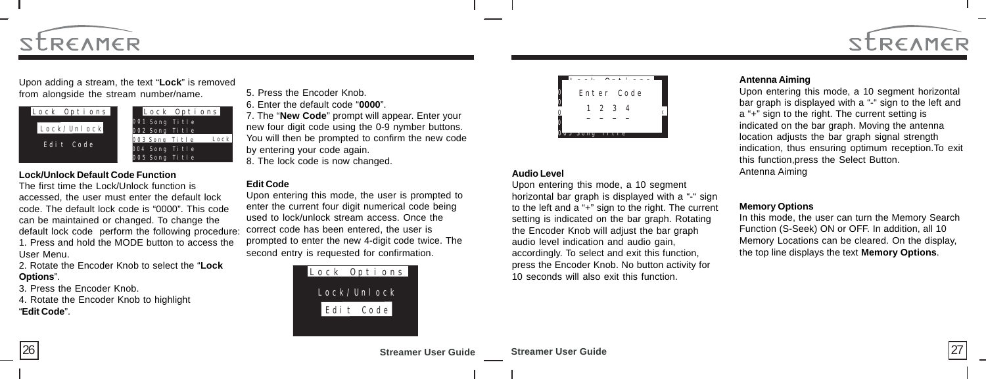

Upon adding a stream, the text "**Lock**" is removed from alongside the stream number/name.



#### **Lock/Unlock Default Code Function**

The first time the Lock/Unlock function is accessed, the user must enter the default lock code. The default lock code is "0000". This code can be maintained or changed. To change the default lock code perform the following procedure: 1. Press and hold the MODE button to access the User Menu.

2. Rotate the Encoder Knob to select the "**Lock Options**".

3. Press the Encoder Knob.

4. Rotate the Encoder Knob to highlight "**Edit Code**".

5. Press the Encoder Knob.

6. Enter the default code "**0000**".

7. The "**New Code**" prompt will appear. Enter your new four digit code using the 0-9 nymber buttons. You will then be prompted to confirm the new code by entering your code again.

8. The lock code is now changed.

#### **Edit Code**

Upon entering this mode, the user is prompted to enter the current four digit numerical code being used to lock/unlock stream access. Once the correct code has been entered, the user is prompted to enter the new 4-digit code twice. The second entry is requested for confirmation.





#### **Audio Level**

Upon entering this mode, a 10 segment horizontal bar graph is displayed with a "-" sign to the left and a "+" sign to the right. The current setting is indicated on the bar graph. Rotating the Encoder Knob will adjust the bar graph audio level indication and audio gain, accordingly. To select and exit this function, press the Encoder Knob. No button activity for 10 seconds will also exit this function.

#### **Antenna Aiming**

Upon entering this mode, a 10 segment horizontal bar graph is displayed with a "-" sign to the left and a "+" sign to the right. The current setting is indicated on the bar graph. Moving the antenna location adjusts the bar graph signal strength indication, thus ensuring optimum reception.To exit this function,press the Select Button. Antenna Aiming

STREAMER

#### **Memory Options**

In this mode, the user can turn the Memory Search Function (S-Seek) ON or OFF. In addition, all 10 Memory Locations can be cleared. On the display, the top line displays the text **Memory Options**.

**Streamer User Guide Streamer User Guide** 26 26 27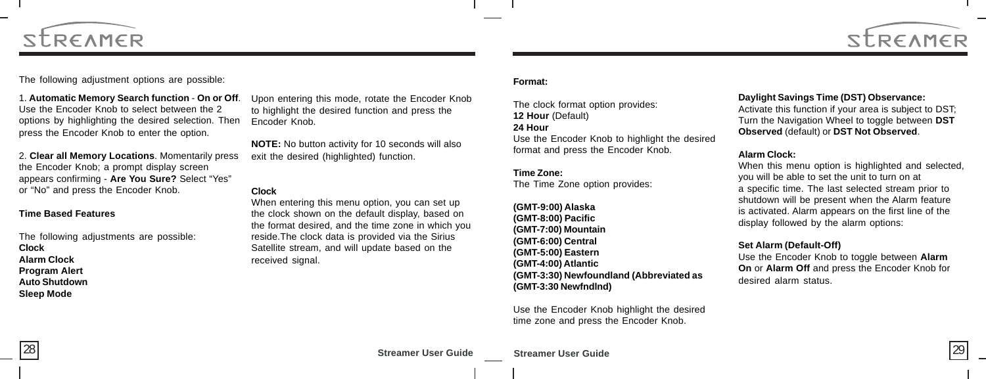



The following adjustment options are possible:

1. **Automatic Memory Search function** - **On or Off**. Use the Encoder Knob to select between the 2 options by highlighting the desired selection. Then press the Encoder Knob to enter the option.

2. **Clear all Memory Locations**. Momentarily press the Encoder Knob; a prompt display screen appears confirming - **Are You Sure?** Select "Yes" or "No" and press the Encoder Knob.

#### **Time Based Features**

The following adjustments are possible: **Clock Alarm Clock Program Alert Auto Shutdown Sleep Mode**

Upon entering this mode, rotate the Encoder Knob to highlight the desired function and press the Encoder Knob.

**NOTE:** No button activity for 10 seconds will also exit the desired (highlighted) function.

#### **Clock**

When entering this menu option, you can set up the clock shown on the default display, based on the format desired, and the time zone in which you reside.The clock data is provided via the Sirius Satellite stream, and will update based on the received signal.

#### **Format:**

The clock format option provides: **12 Hour** (Default)

#### **24 Hour**

Use the Encoder Knob to highlight the desired format and press the Encoder Knob.

#### **Time Zone:**

The Time Zone option provides:

**(GMT-9:00) Alaska (GMT-8:00) Pacific (GMT-7:00) Mountain (GMT-6:00) Central (GMT-5:00) Eastern (GMT-4:00) Atlantic (GMT-3:30) Newfoundland (Abbreviated as (GMT-3:30 Newfndlnd)**

Use the Encoder Knob highlight the desired time zone and press the Encoder Knob.

#### **Daylight Savings Time (DST) Observance:**

Activate this function if your area is subject to DST; Turn the Navigation Wheel to toggle between **DST Observed** (default) or **DST Not Observed**.

#### **Alarm Clock:**

When this menu option is highlighted and selected, you will be able to set the unit to turn on at a specific time. The last selected stream prior to shutdown will be present when the Alarm feature is activated. Alarm appears on the first line of the display followed by the alarm options:

#### **Set Alarm (Default-Off)**

Use the Encoder Knob to toggle between **Alarm On** or **Alarm Off** and press the Encoder Knob for desired alarm status.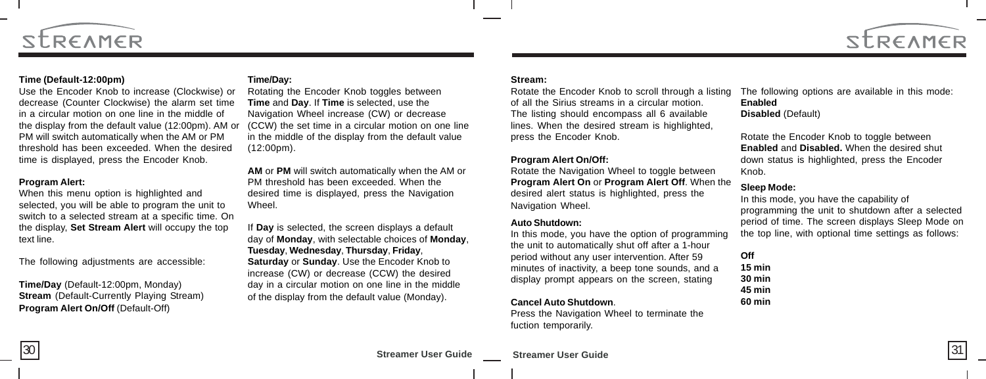



#### **Time (Default-12:00pm)**

Use the Encoder Knob to increase (Clockwise) or decrease (Counter Clockwise) the alarm set time in a circular motion on one line in the middle of the display from the default value (12:00pm). AM or PM will switch automatically when the AM or PM threshold has been exceeded. When the desired time is displayed, press the Encoder Knob.

#### **Program Alert:**

When this menu option is highlighted and selected, you will be able to program the unit to switch to a selected stream at a specific time. On the display, **Set Stream Alert** will occupy the top text line.

The following adjustments are accessible:

**Time/Day** (Default-12:00pm, Monday) **Stream** (Default-Currently Playing Stream) **Program Alert On/Off** (Default-Off)

#### **Time/Day:**

Rotating the Encoder Knob toggles between **Time** and **Day**. If **Time** is selected, use the Navigation Wheel increase (CW) or decrease (CCW) the set time in a circular motion on one line in the middle of the display from the default value (12:00pm).

**AM** or **PM** will switch automatically when the AM or PM threshold has been exceeded. When the desired time is displayed, press the Navigation Wheel.

If **Day** is selected, the screen displays a default day of **Monday**, with selectable choices of **Monday**, **Tuesday**, **Wednesday**, **Thursday**, **Friday**, **Saturday** or **Sunday**. Use the Encoder Knob to increase (CW) or decrease (CCW) the desired day in a circular motion on one line in the middle of the display from the default value (Monday).

#### **Stream:**

Rotate the Encoder Knob to scroll through a listing of all the Sirius streams in a circular motion. The listing should encompass all 6 available lines. When the desired stream is highlighted, press the Encoder Knob.

#### **Program Alert On/Off:**

Rotate the Navigation Wheel to toggle between **Program Alert On** or **Program Alert Off**. When the desired alert status is highlighted, press the Navigation Wheel.

#### **Auto Shutdown:**

In this mode, you have the option of programming the unit to automatically shut off after a 1-hour period without any user intervention. After 59 minutes of inactivity, a beep tone sounds, and a display prompt appears on the screen, stating

#### **Cancel Auto Shutdown**.

Press the Navigation Wheel to terminate the fuction temporarily.

The following options are available in this mode: **Enabled Disabled** (Default)

Rotate the Encoder Knob to toggle between **Enabled** and **Disabled.** When the desired shut down status is highlighted, press the Encoder Knob.

#### **Sleep Mode:**

In this mode, you have the capability of programming the unit to shutdown after a selected period of time. The screen displays Sleep Mode on the top line, with optional time settings as follows:

**Off 15 min 30 min 45 min 60 min**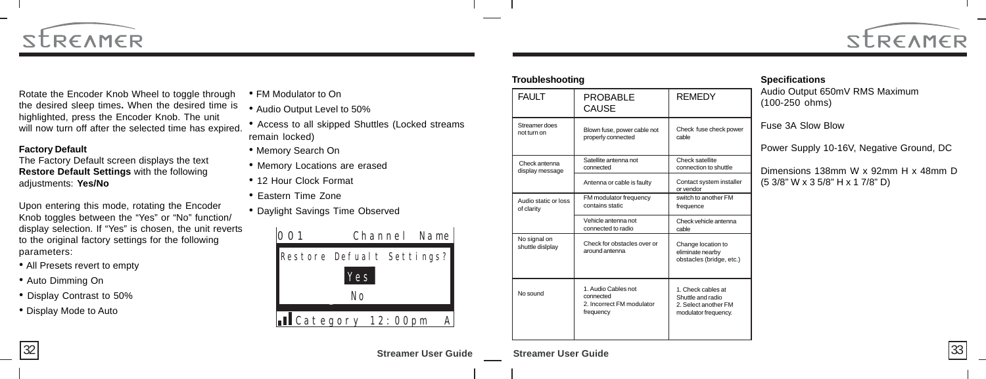



Rotate the Encoder Knob Wheel to toggle through the desired sleep times**.** When the desired time is highlighted, press the Encoder Knob. The unit will now turn off after the selected time has expired.

#### **Factory Default**

The Factory Default screen displays the text **Restore Default Settings** with the following adjustments: **Yes/No**

Upon entering this mode, rotating the Encoder Knob toggles between the "Yes" or "No" function/ display selection. If "Yes" is chosen, the unit reverts to the original factory settings for the following parameters:

- All Presets revert to empty
- Auto Dimming On
- Display Contrast to 50%
- Display Mode to Auto

• FM Modulator to On

- Audio Output Level to 50%
- Access to all skipped Shuttles (Locked streams remain locked)
- Memory Search On
- Memory Locations are erased
- 12 Hour Clock Format
- Eastern Time Zone
- Daylight Savings Time Observed



| <b>Troubleshooting</b>             |                                                                            |                                                                                         |  |
|------------------------------------|----------------------------------------------------------------------------|-----------------------------------------------------------------------------------------|--|
| <b>FAULT</b>                       | PROBABLE<br>CAUSE                                                          | <b>REMEDY</b>                                                                           |  |
| Streamer does<br>not turn on       | Blown fuse, power cable not<br>properly connected                          | Check fuse check power<br>cable                                                         |  |
| Check antenna<br>display message   | Satellite antenna not<br>connected                                         | Check satellite<br>connection to shuttle                                                |  |
|                                    | Antenna or cable is faulty                                                 | Contact system installer<br>or vendor                                                   |  |
| Audio static or loss<br>of clarity | FM modulator frequency<br>contains static                                  | switch to another FM<br>frequence                                                       |  |
|                                    | Vehicle antenna not<br>connected to radio                                  | Check vehicle antenna<br>cable                                                          |  |
| No signal on<br>shuttle dislplay   | Check for obstacles over or<br>around antenna                              | Change location to<br>eliminate nearby<br>obstacles (bridge, etc.)                      |  |
| No sound                           | 1. Audio Cables not<br>connected<br>2. Incorrect FM modulator<br>frequency | 1. Check cables at<br>Shuttle and radio<br>2. Select another FM<br>modulator frequency. |  |

#### **Specifications**

Audio Output 650mV RMS Maximum (100-250 ohms)

Fuse 3A Slow Blow

Power Supply 10-16V, Negative Ground, DC

Dimensions 138mm W x 92mm H x 48mm D (5 3/8" W x 3 5/8" H x 1 7/8" D)